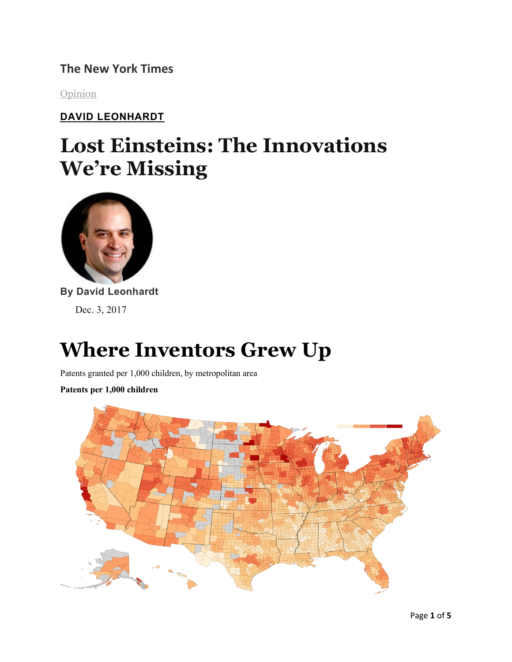**The New York Times**

**[Opinion](about:blank)** 

## **DAVID [LEONHARDT](about:blank)**

# **Lost Einsteins: The Innovations We're Missing**



**By David [Leonhardt](about:blank)**

Dec. 3, 2017

## **Where Inventors Grew Up**

Patents granted per 1,000 children, by metropolitan area

**Patents per 1,000 children**

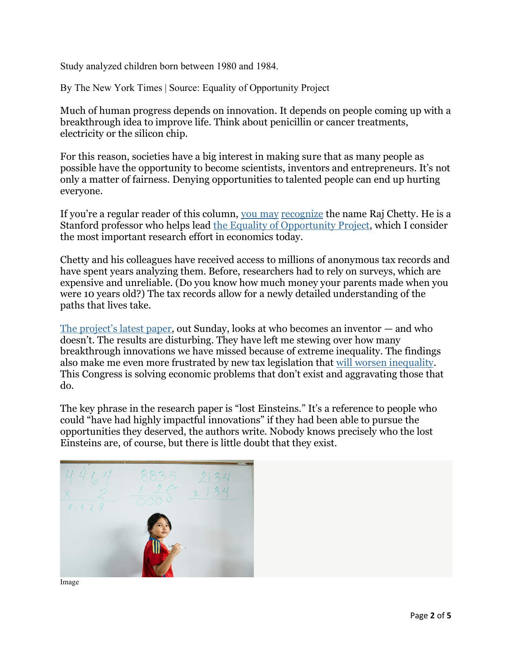Study analyzed children born between 1980 and 1984.

By The New York Times | Source: Equality of Opportunity Project

Much of human progress depends on innovation. It depends on people coming up with a breakthrough idea to improve life. Think about penicillin or cancer treatments, electricity or the silicon chip.

For this reason, societies have a big interest in making sure that as many people as possible have the opportunity to become scientists, inventors and entrepreneurs. It's not only a matter of fairness. Denying opportunities to talented people can end up hurting everyone.

If you're a regular reader of this column, you [may](about:blank) [recognize](about:blank) the name Raj Chetty. He is a Stanford professor who helps lead the Equality of [Opportunity](about:blank) Project, which I consider the most important research effort in economics today.

Chetty and his colleagues have received access to millions of anonymous tax records and have spent years analyzing them. Before, researchers had to rely on surveys, which are expensive and unreliable. (Do you know how much money your parents made when you were 10 years old?) The tax records allow for a newly detailed understanding of the paths that lives take.

The [project's](about:blank) latest paper, out Sunday, looks at who becomes an inventor — and who doesn't. The results are disturbing. They have left me stewing over how many breakthrough innovations we have missed because of extreme inequality. The findings also make me even more frustrated by new tax legislation that will worsen [inequality.](about:blank) This Congress is solving economic problems that don't exist and aggravating those that do.

The key phrase in the research paper is "lost Einsteins." It's a reference to people who could "have had highly impactful innovations" if they had been able to pursue the opportunities they deserved, the authors write. Nobody knows precisely who the lost Einsteins are, of course, but there is little doubt that they exist.



Image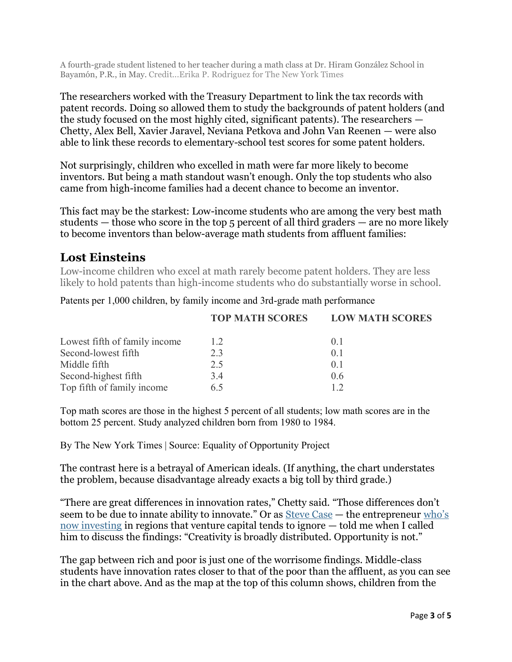A fourth-grade student listened to her teacher during a math class at Dr. Hiram González School in Bayamón, P.R., in May. Credit...Erika P. Rodriguez for The New York Times

The researchers worked with the Treasury Department to link the tax records with patent records. Doing so allowed them to study the backgrounds of patent holders (and the study focused on the most highly cited, significant patents). The researchers — Chetty, Alex Bell, Xavier Jaravel, Neviana Petkova and John Van Reenen — were also able to link these records to elementary-school test scores for some patent holders.

Not surprisingly, children who excelled in math were far more likely to become inventors. But being a math standout wasn't enough. Only the top students who also came from high-income families had a decent chance to become an inventor.

This fact may be the starkest: Low-income students who are among the very best math students — those who score in the top 5 percent of all third graders — are no more likely to become inventors than below-average math students from affluent families:

### **Lost Einsteins**

Low-income children who excel at math rarely become patent holders. They are less likely to hold patents than high-income students who do substantially worse in school.

Patents per 1,000 children, by family income and 3rd-grade math performance

|                               | <b>TOP MATH SCORES</b> | <b>LOW MATH SCORES</b> |
|-------------------------------|------------------------|------------------------|
| Lowest fifth of family income | 1.2                    | (0.1)                  |
| Second-lowest fifth           | 2.3                    | (0.1)                  |
| Middle fifth                  | 2.5                    | (0.1)                  |
| Second-highest fifth          | 3.4                    | 0.6                    |
| Top fifth of family income    | 6.5                    |                        |
|                               |                        |                        |

Top math scores are those in the highest 5 percent of all students; low math scores are in the bottom 25 percent. Study analyzed children born from 1980 to 1984.

By The New York Times | Source: Equality of Opportunity Project

The contrast here is a betrayal of American ideals. (If anything, the chart understates the problem, because disadvantage already exacts a big toll by third grade.)

"There are great differences in innovation rates," Chetty said. "Those differences don't seem to be due to innate ability to innovate." Or as [Steve](about:blank) Case — the entrepreneur [who's](about:blank) now [investing](about:blank) in regions that venture capital tends to ignore — told me when I called him to discuss the findings: "Creativity is broadly distributed. Opportunity is not."

The gap between rich and poor is just one of the worrisome findings. Middle-class students have innovation rates closer to that of the poor than the affluent, as you can see in the chart above. And as the map at the top of this column shows, children from the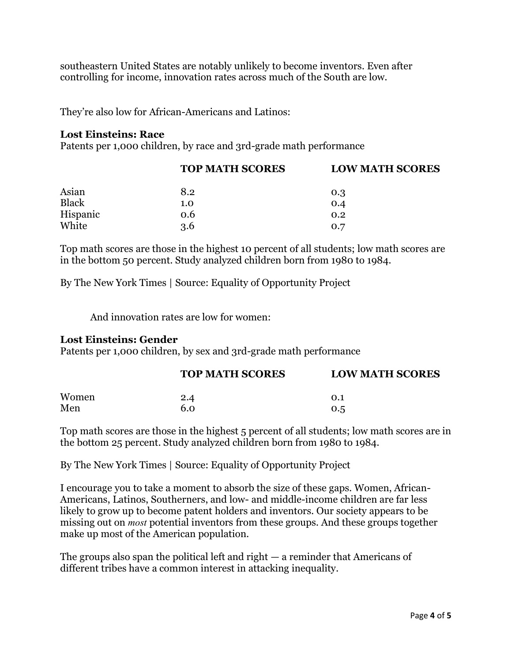southeastern United States are notably unlikely to become inventors. Even after controlling for income, innovation rates across much of the South are low.

They're also low for African-Americans and Latinos:

### **Lost Einsteins: Race**

Patents per 1,000 children, by race and 3rd-grade math performance

|              | <b>TOP MATH SCORES</b> | <b>LOW MATH SCORES</b> |
|--------------|------------------------|------------------------|
| Asian        | 8.2                    | 0.3                    |
| <b>Black</b> | 1.0                    | 0.4                    |
| Hispanic     | 0.6                    | 0.2                    |
| White        | 3.6                    | 0.7                    |
|              |                        |                        |

Top math scores are those in the highest 10 percent of all students; low math scores are in the bottom 50 percent. Study analyzed children born from 1980 to 1984.

By The New York Times | Source: Equality of Opportunity Project

And innovation rates are low for women:

### **Lost Einsteins: Gender**

Patents per 1,000 children, by sex and 3rd-grade math performance

|       | <b>TOP MATH SCORES</b> | <b>LOW MATH SCORES</b> |
|-------|------------------------|------------------------|
| Women | 2.4                    | 0.1                    |
| Men   | 6.0                    | 0.5                    |

Top math scores are those in the highest 5 percent of all students; low math scores are in the bottom 25 percent. Study analyzed children born from 1980 to 1984.

By The New York Times | Source: Equality of Opportunity Project

I encourage you to take a moment to absorb the size of these gaps. Women, African-Americans, Latinos, Southerners, and low- and middle-income children are far less likely to grow up to become patent holders and inventors. Our society appears to be missing out on *most* potential inventors from these groups. And these groups together make up most of the American population.

The groups also span the political left and right  $-$  a reminder that Americans of different tribes have a common interest in attacking inequality.